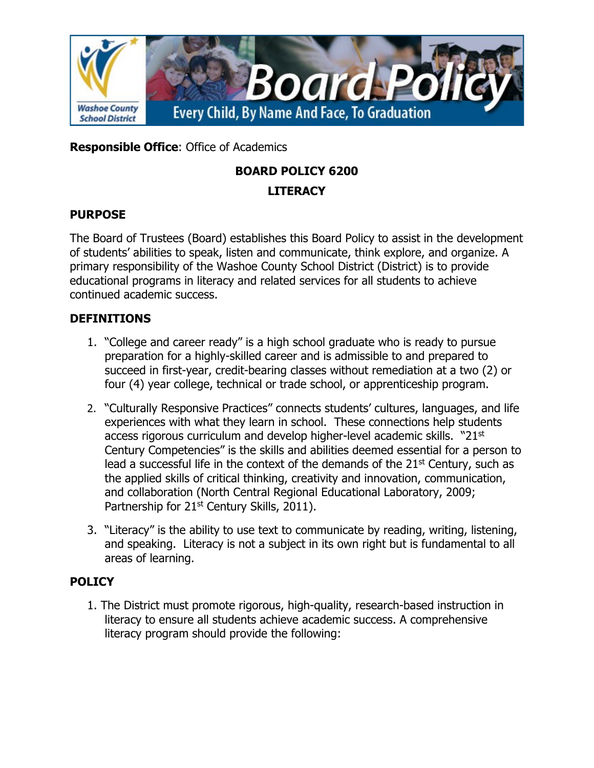

**Responsible Office**: Office of Academics

# **BOARD POLICY 6200**

## **LITERACY**

## **PURPOSE**

The Board of Trustees (Board) establishes this Board Policy to assist in the development of students' abilities to speak, listen and communicate, think explore, and organize. A primary responsibility of the Washoe County School District (District) is to provide educational programs in literacy and related services for all students to achieve continued academic success.

# **DEFINITIONS**

- 1. "College and career ready" is a high school graduate who is ready to pursue preparation for a highly-skilled career and is admissible to and prepared to succeed in first-year, credit-bearing classes without remediation at a two (2) or four (4) year college, technical or trade school, or apprenticeship program.
- 2. "Culturally Responsive Practices" connects students' cultures, languages, and life experiences with what they learn in school. These connections help students access rigorous curriculum and develop higher-level academic skills. "21<sup>st</sup> Century Competencies" is the skills and abilities deemed essential for a person to lead a successful life in the context of the demands of the  $21<sup>st</sup>$  Century, such as the applied skills of critical thinking, creativity and innovation, communication, and collaboration (North Central Regional Educational Laboratory, 2009; Partnership for  $21<sup>st</sup>$  Century Skills, 2011).
- 3. "Literacy" is the ability to use text to communicate by reading, writing, listening, and speaking. Literacy is not a subject in its own right but is fundamental to all areas of learning.

# **POLICY**

1. The District must promote rigorous, high-quality, research-based instruction in literacy to ensure all students achieve academic success. A comprehensive literacy program should provide the following: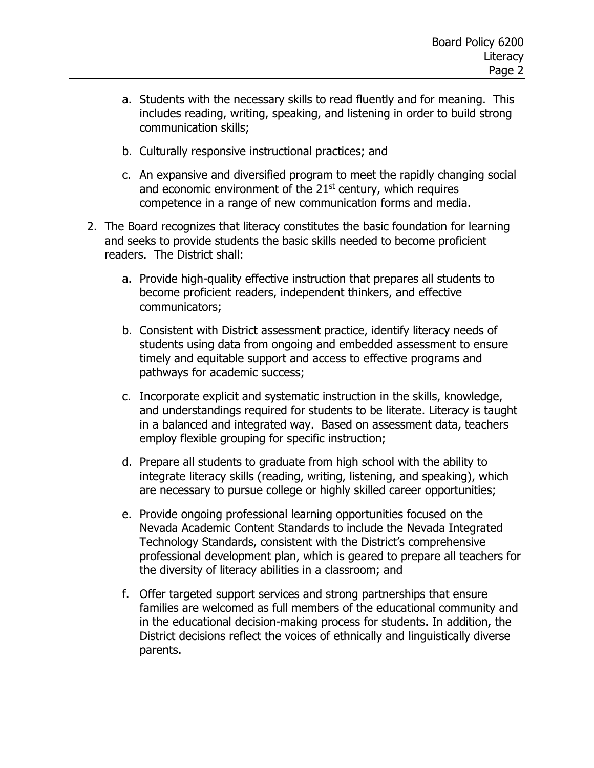- a. Students with the necessary skills to read fluently and for meaning. This includes reading, writing, speaking, and listening in order to build strong communication skills;
- b. Culturally responsive instructional practices; and
- c. An expansive and diversified program to meet the rapidly changing social and economic environment of the  $21<sup>st</sup>$  century, which requires competence in a range of new communication forms and media.
- 2. The Board recognizes that literacy constitutes the basic foundation for learning and seeks to provide students the basic skills needed to become proficient readers. The District shall:
	- a. Provide high-quality effective instruction that prepares all students to become proficient readers, independent thinkers, and effective communicators;
	- b. Consistent with District assessment practice, identify literacy needs of students using data from ongoing and embedded assessment to ensure timely and equitable support and access to effective programs and pathways for academic success;
	- c. Incorporate explicit and systematic instruction in the skills, knowledge, and understandings required for students to be literate. Literacy is taught in a balanced and integrated way. Based on assessment data, teachers employ flexible grouping for specific instruction;
	- d. Prepare all students to graduate from high school with the ability to integrate literacy skills (reading, writing, listening, and speaking), which are necessary to pursue college or highly skilled career opportunities;
	- e. Provide ongoing professional learning opportunities focused on the Nevada Academic Content Standards to include the Nevada Integrated Technology Standards, consistent with the District's comprehensive professional development plan, which is geared to prepare all teachers for the diversity of literacy abilities in a classroom; and
	- f. Offer targeted support services and strong partnerships that ensure families are welcomed as full members of the educational community and in the educational decision-making process for students. In addition, the District decisions reflect the voices of ethnically and linguistically diverse parents.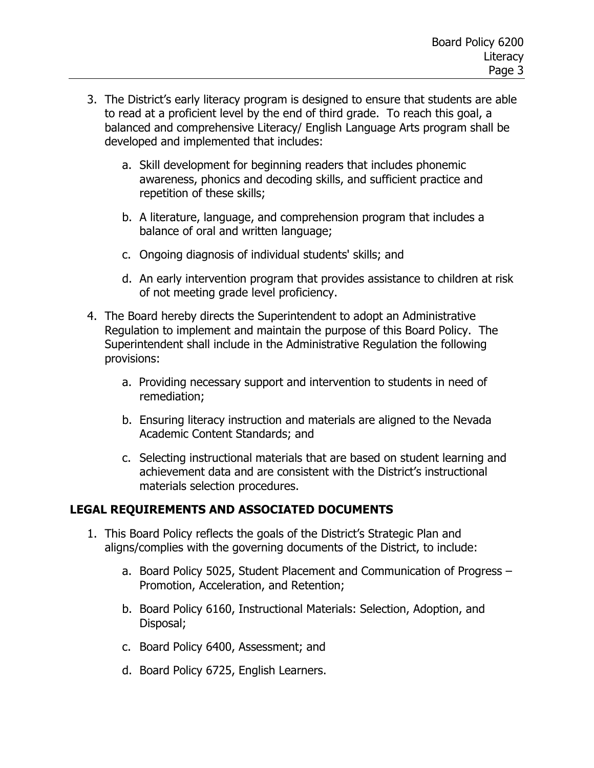- 3. The District's early literacy program is designed to ensure that students are able to read at a proficient level by the end of third grade. To reach this goal, a balanced and comprehensive Literacy/ English Language Arts program shall be developed and implemented that includes:
	- a. Skill development for beginning readers that includes phonemic awareness, phonics and decoding skills, and sufficient practice and repetition of these skills;
	- b. A literature, language, and comprehension program that includes a balance of oral and written language;
	- c. Ongoing diagnosis of individual students' skills; and
	- d. An early intervention program that provides assistance to children at risk of not meeting grade level proficiency.
- 4. The Board hereby directs the Superintendent to adopt an Administrative Regulation to implement and maintain the purpose of this Board Policy. The Superintendent shall include in the Administrative Regulation the following provisions:
	- a. Providing necessary support and intervention to students in need of remediation;
	- b. Ensuring literacy instruction and materials are aligned to the Nevada Academic Content Standards; and
	- c. Selecting instructional materials that are based on student learning and achievement data and are consistent with the District's instructional materials selection procedures.

#### **LEGAL REQUIREMENTS AND ASSOCIATED DOCUMENTS**

- 1. This Board Policy reflects the goals of the District's Strategic Plan and aligns/complies with the governing documents of the District, to include:
	- a. Board Policy 5025, Student Placement and Communication of Progress Promotion, Acceleration, and Retention;
	- b. Board Policy 6160, Instructional Materials: Selection, Adoption, and Disposal;
	- c. Board Policy 6400, Assessment; and
	- d. Board Policy 6725, English Learners.